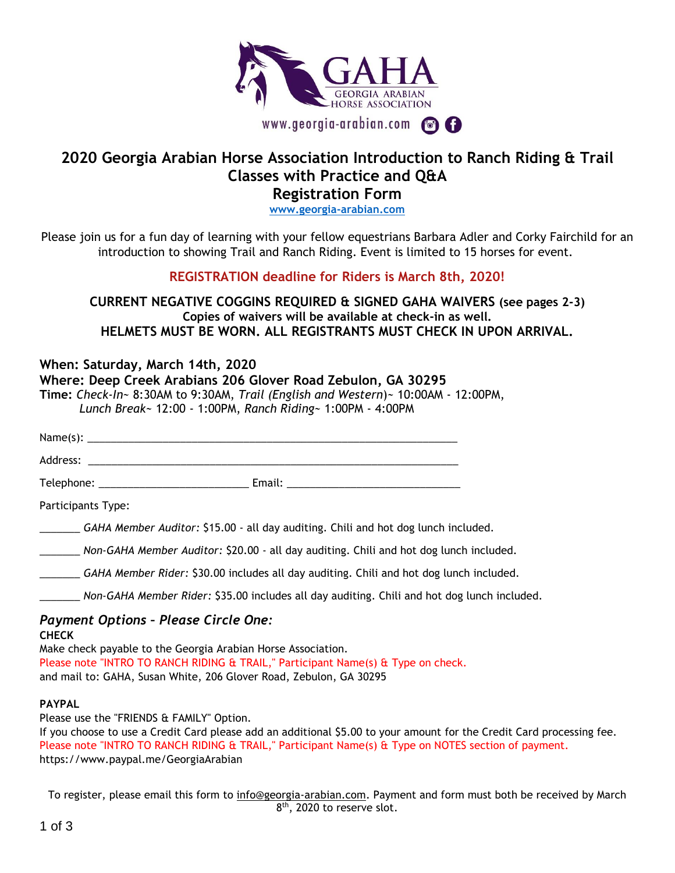

## **2020 Georgia Arabian Horse Association Introduction to Ranch Riding & Trail Classes with Practice and Q&A**

**Registration Form**

**[www.georgia-arabian.com](http://www.georgia-arabian.com/)**

Please join us for a fun day of learning with your fellow equestrians Barbara Adler and Corky Fairchild for an introduction to showing Trail and Ranch Riding. Event is limited to 15 horses for event.

**REGISTRATION deadline for Riders is March 8th, 2020!**

**CURRENT NEGATIVE COGGINS REQUIRED & SIGNED GAHA WAIVERS (see pages 2-3) Copies of waivers will be available at check-in as well. HELMETS MUST BE WORN. ALL REGISTRANTS MUST CHECK IN UPON ARRIVAL.**

| When: Saturday, March 14th, 2020<br>Where: Deep Creek Arabians 206 Glover Road Zebulon, GA 30295<br>Time: Check-In~ 8:30AM to 9:30AM, Trail (English and Western)~ 10:00AM - 12:00PM,<br>Lunch Break~ 12:00 - 1:00PM, Ranch Riding~ 1:00PM - 4:00PM |                                                                                                                                                         |  |  |
|-----------------------------------------------------------------------------------------------------------------------------------------------------------------------------------------------------------------------------------------------------|---------------------------------------------------------------------------------------------------------------------------------------------------------|--|--|
|                                                                                                                                                                                                                                                     |                                                                                                                                                         |  |  |
|                                                                                                                                                                                                                                                     |                                                                                                                                                         |  |  |
|                                                                                                                                                                                                                                                     |                                                                                                                                                         |  |  |
| Participants Type:                                                                                                                                                                                                                                  |                                                                                                                                                         |  |  |
| GAHA Member Auditor: \$15.00 - all day auditing. Chili and hot dog lunch included.                                                                                                                                                                  |                                                                                                                                                         |  |  |
| _________ Non-GAHA Member Auditor: \$20.00 - all day auditing. Chili and hot dog lunch included.                                                                                                                                                    |                                                                                                                                                         |  |  |
| GAHA Member Rider: \$30.00 includes all day auditing. Chili and hot dog lunch included.                                                                                                                                                             |                                                                                                                                                         |  |  |
| Non-GAHA Member Rider: \$35.00 includes all day auditing. Chili and hot dog lunch included.                                                                                                                                                         |                                                                                                                                                         |  |  |
| <b>Payment Options - Please Circle One:</b><br><b>CHECK</b><br>Make check payable to the Georgia Arabian Horse Association.                                                                                                                         | Please note "INTRO TO RANCH RIDING & TRAIL," Participant Name(s) & Type on check.<br>and mail to: GAHA, Susan White, 206 Glover Road, Zebulon, GA 30295 |  |  |
| <b>PAYPAL</b><br>Please use the "FRIENDS & FAMILY" Option.                                                                                                                                                                                          |                                                                                                                                                         |  |  |

If you choose to use a Credit Card please add an additional \$5.00 to your amount for the Credit Card processing fee. Please note "INTRO TO RANCH RIDING & TRAIL," Participant Name(s) & Type on NOTES section of payment. https://www.paypal.me/GeorgiaArabian

To register, please email this form to [info@georgia-arabian.com.](mailto:info@georgia-arabian.com) Payment and form must both be received by March 8<sup>th</sup>, 2020 to reserve slot.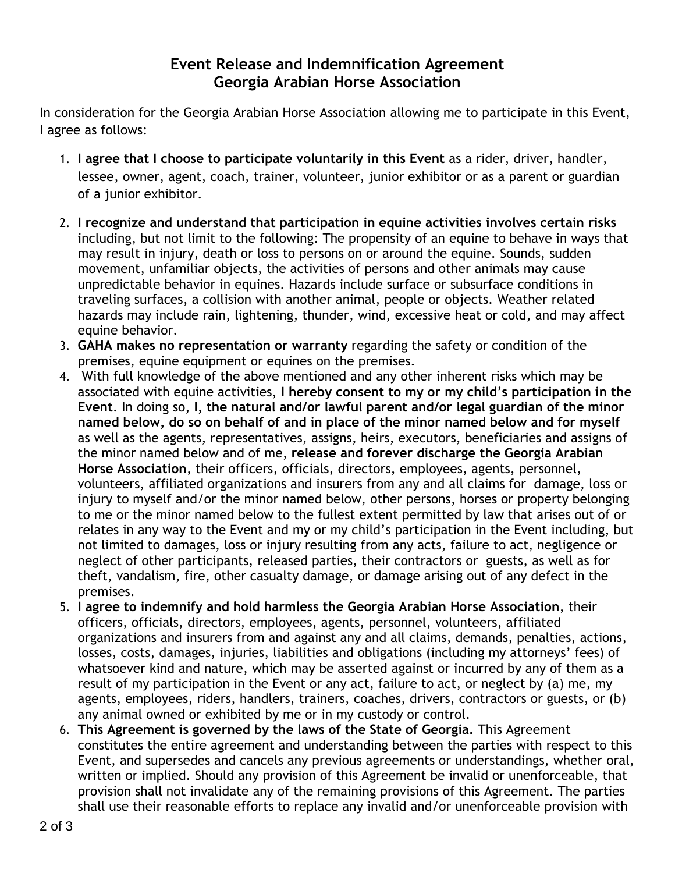## **Event Release and Indemnification Agreement Georgia Arabian Horse Association**

In consideration for the Georgia Arabian Horse Association allowing me to participate in this Event, I agree as follows:

- 1. **I agree that I choose to participate voluntarily in this Event** as a rider, driver, handler, lessee, owner, agent, coach, trainer, volunteer, junior exhibitor or as a parent or guardian of a junior exhibitor.
- 2. **I recognize and understand that participation in equine activities involves certain risks** including, but not limit to the following: The propensity of an equine to behave in ways that may result in injury, death or loss to persons on or around the equine. Sounds, sudden movement, unfamiliar objects, the activities of persons and other animals may cause unpredictable behavior in equines. Hazards include surface or subsurface conditions in traveling surfaces, a collision with another animal, people or objects. Weather related hazards may include rain, lightening, thunder, wind, excessive heat or cold, and may affect equine behavior.
- 3. **GAHA makes no representation or warranty** regarding the safety or condition of the premises, equine equipment or equines on the premises.
- 4. With full knowledge of the above mentioned and any other inherent risks which may be associated with equine activities, **I hereby consent to my or my child**'**s participation in the Event**. In doing so, **I, the natural and/or lawful parent and/or legal guardian of the minor named below, do so on behalf of and in place of the minor named below and for myself** as well as the agents, representatives, assigns, heirs, executors, beneficiaries and assigns of the minor named below and of me, **release and forever discharge the Georgia Arabian Horse Association**, their officers, officials, directors, employees, agents, personnel, volunteers, affiliated organizations and insurers from any and all claims for damage, loss or injury to myself and/or the minor named below, other persons, horses or property belonging to me or the minor named below to the fullest extent permitted by law that arises out of or relates in any way to the Event and my or my child's participation in the Event including, but not limited to damages, loss or injury resulting from any acts, failure to act, negligence or neglect of other participants, released parties, their contractors or guests, as well as for theft, vandalism, fire, other casualty damage, or damage arising out of any defect in the premises.
- 5. **I agree to indemnify and hold harmless the Georgia Arabian Horse Association**, their officers, officials, directors, employees, agents, personnel, volunteers, affiliated organizations and insurers from and against any and all claims, demands, penalties, actions, losses, costs, damages, injuries, liabilities and obligations (including my attorneys' fees) of whatsoever kind and nature, which may be asserted against or incurred by any of them as a result of my participation in the Event or any act, failure to act, or neglect by (a) me, my agents, employees, riders, handlers, trainers, coaches, drivers, contractors or guests, or (b) any animal owned or exhibited by me or in my custody or control.
- 6. **This Agreement is governed by the laws of the State of Georgia.** This Agreement constitutes the entire agreement and understanding between the parties with respect to this Event, and supersedes and cancels any previous agreements or understandings, whether oral, written or implied. Should any provision of this Agreement be invalid or unenforceable, that provision shall not invalidate any of the remaining provisions of this Agreement. The parties shall use their reasonable efforts to replace any invalid and/or unenforceable provision with